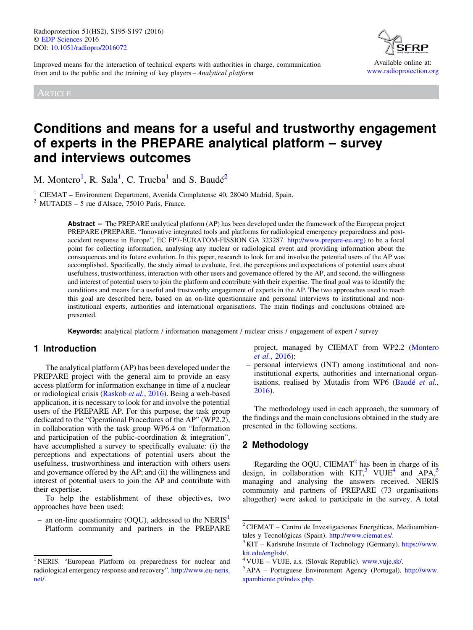Improved means for the interaction of technical experts with authorities in charge, communication from and to the public and the training of key players – Analytical platform

ARTICLE



# Conditions and means for a useful and trustworthy engagement of experts in the PREPARE analytical platform – survey and interviews outcomes

M. Montero<sup>1</sup>, R. Sala<sup>1</sup>, C. Trueba<sup>1</sup> and S. Baudé<sup>2</sup>

<sup>1</sup> CIEMAT – Environment Department, Avenida Complutense 40, 28040 Madrid, Spain. <sup>2</sup> MUTADIS – 5 rue d'Alsace, 75010 Paris, France.

Abstract – The PREPARE analytical platform (AP) has been developed under the framework of the European project PREPARE (PREPARE. "Innovative integrated tools and platforms for radiological emergency preparedness and postaccident response in Europe", EC FP7-EURATOM-FISSION GA 323287. [http://www.prepare-eu.org\)](https://www.prepare-europe.eu/) to be a focal point for collecting information, analysing any nuclear or radiological event and providing information about the consequences and its future evolution. In this paper, research to look for and involve the potential users of the AP was accomplished. Specifically, the study aimed to evaluate, first, the perceptions and expectations of potential users about usefulness, trustworthiness, interaction with other users and governance offered by the AP, and second, the willingness and interest of potential users to join the platform and contribute with their expertise. The final goal was to identify the conditions and means for a useful and trustworthy engagement of experts in the AP. The two approaches used to reach this goal are described here, based on an on-line questionnaire and personal interviews to institutional and noninstitutional experts, authorities and international organisations. The main findings and conclusions obtained are presented.

Keywords: analytical platform / information management / nuclear crisis / engagement of expert / survey

# 1 Introduction

The analytical platform (AP) has been developed under the PREPARE project with the general aim to provide an easy access platform for information exchange in time of a nuclear or radiological crisis ([Raskob](#page-2-0) et al., 2016). Being a web-based application, it is necessary to look for and involve the potential users of the PREPARE AP. For this purpose, the task group dedicated to the "Operational Procedures of the AP" (WP2.2), in collaboration with the task group WP6.4 on "Information and participation of the public-coordination & integration", have accomplished a survey to specifically evaluate: (i) the perceptions and expectations of potential users about the usefulness, trustworthiness and interaction with others users and governance offered by the AP; and (ii) the willingness and interest of potential users to join the AP and contribute with their expertise.

To help the establishment of these objectives, two approaches have been used:

– an on-line questionnaire (OOU), addressed to the NERIS<sup>1</sup> Platform community and partners in the PREPARE project, managed by CIEMAT from WP2.2 [\(Montero](#page-2-0) et al.[, 2016](#page-2-0));

– personal interviews (INT) among institutional and noninstitutional experts, authorities and international organ-isations, realised by Mutadis from WP6 ([Baudé](#page-2-0) et al., [2016\)](#page-2-0).

The methodology used in each approach, the summary of the findings and the main conclusions obtained in the study are presented in the following sections.

# 2 Methodology

Regarding the OQU, CIEMAT<sup>2</sup> has been in charge of its design, in collaboration with  $KIT$ ,<sup>3</sup> VUJE<sup>4</sup> and APA,<sup>5</sup> managing and analysing the answers received. NERIS community and partners of PREPARE (73 organisations altogether) were asked to participate in the survey. A total

<sup>&</sup>lt;sup>1</sup> NERIS. "European Platform on preparedness for nuclear and radiological emergency response and recovery". [http://www.eu-neris.](http://www.eu-neris.net/) [net/.](http://www.eu-neris.net/)

 $2$ CIEMAT – Centro de Investigaciones Energéticas, Medioambientales y Tecnológicas (Spain). [http://www.ciemat.es/.](http://www.ciemat.es/)<br><sup>3</sup> KIT – Karlsruhe Institute of Technology (Germany). [https://www.](http://www.kit.edu/english/)

[kit.edu/english/.](http://https://www.kit.edu/english/)<br><sup>4</sup> VUJE – VUJE, a.s. (Slovak Republic). [www.vuje.sk/](http://www.vuje.sk/).<br><sup>5</sup> APA – Portuguese Environment Agency (Portugal). [http://www.](http://www.apambiente.pt/index.php)

[apambiente.pt/index.php](http://www.apambiente.pt/index.php).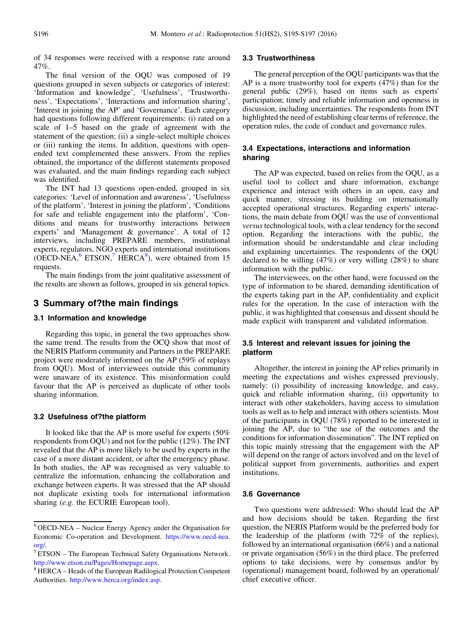of 34 responses were received with a response rate around 47%.

The final version of the OQU was composed of 19 questions grouped in seven subjects or categories of interest: 'Information and knowledge', 'Usefulness', 'Trustworthiness', 'Expectations', 'Interactions and information sharing', 'Interest in joining the AP' and 'Governance'. Each category had questions following different requirements: (i) rated on a scale of 1–5 based on the grade of agreement with the statement of the question; (ii) a single-select multiple choices or (iii) ranking the items. In addition, questions with openended text complemented these answers. From the replies obtained, the importance of the different statements proposed was evaluated, and the main findings regarding each subject was identified.

The INT had 13 questions open-ended, grouped in six categories: 'Level of information and awareness', 'Usefulness of the platform', 'Interest in joining the platform', 'Conditions for safe and reliable engagement into the platform', 'Conditions and means for trustworthy interactions between experts' and 'Management & governance'. A total of 12 interviews, including PREPARE members, institutional experts, regulators, NGO experts and international institutions  $(OECD-NEA, <sup>6</sup> ETSON, <sup>7</sup> HERCA<sup>8</sup>)$ , were obtained from 15 requests.

The main findings from the joint qualitative assessment of the results are shown as follows, grouped in six general topics.

### 3 Summary of?the main findings

## 3.1 Information and knowledge

Regarding this topic, in general the two approaches show the same trend. The results from the OCQ show that most of the NERIS Platform community and Partners in the PREPARE project were moderately informed on the AP (59% of replays from OQU). Most of interviewees outside this community were unaware of its existence. This misinformation could favour that the AP is perceived as duplicate of other tools sharing information.

#### 3.2 Usefulness of?the platform

It looked like that the AP is more useful for experts (50% respondents from OQU) and not for the public (12%). The INT revealed that the AP is more likely to be used by experts in the case of a more distant accident, or after the emergency phase. In both studies, the AP was recognised as very valuable to centralize the information, enhancing the collaboration and exchange between experts. It was stressed that the AP should not duplicate existing tools for international information sharing (e.g. the ECURIE European tool).

#### 3.3 Trustworthiness

The general perception of the OQU participants was that the AP is a more trustworthy tool for experts (47%) than for the general public (29%), based on items such as experts' participation; timely and reliable information and openness in discussion, including uncertainties. The respondents from INT highlighted the need of establishing clear terms of reference, the operation rules, the code of conduct and governance rules.

#### 3.4 Expectations, interactions and information sharing

The AP was expected, based on relies from the OQU, as a useful tool to collect and share information, exchange experience and interact with others in an open, easy and quick manner, stressing its building on internationally accepted operational structures. Regarding experts' interactions, the main debate from OQU was the use of conventional versus technological tools, with a clear tendency for the second option. Regarding the interactions with the public, the information should be understandable and clear including and explaining uncertainties. The respondents of the OQU declared to be willing (47%) or very willing (28%) to share information with the public.

The interviewees, on the other hand, were focussed on the type of information to be shared, demanding identification of the experts taking part in the AP, confidentiality and explicit rules for the operation. In the case of interaction with the public, it was highlighted that consensus and dissent should be made explicit with transparent and validated information.

## 3.5 Interest and relevant issues for joining the platform

Altogether, the interest in joining the AP relies primarily in meeting the expectations and wishes expressed previously, namely: (i) possibility of increasing knowledge, and easy, quick and reliable information sharing, (ii) opportunity to interact with other stakeholders, having access to simulation tools as well as to help and interact with others scientists. Most of the participants in OQU (78%) reported to be interested in joining the AP, due to "the use of the outcomes and the conditions for information dissemination". The INT replied on this topic mainly stressing that the engagement with the AP will depend on the range of actors involved and on the level of political support from governments, authorities and expert institutions.

#### 3.6 Governance

Two questions were addressed: Who should lead the AP and how decisions should be taken. Regarding the first question, the NERIS Platform would be the preferred body for the leadership of the platform (with  $72\%$  of the replies), followed by an international organisation (66%) and a national or private organisation (56%) in the third place. The preferred options to take decisions, were by consensus and/or by (operational) management board, followed by an operational/ chief executive officer.

<sup>6</sup> OECD-NEA – Nuclear Energy Agency under the Organisation for Economic Co-operation and Development. [https://www.oecd-nea.](http://www.oecd-nea.org/)

[org/.](http://https://www.oecd-nea.org/)<br><sup>7</sup> ETSON – The European Technical Safety Organisations Network.<br>http://www.etson.eu/Pages/Homepage.aspx.

 $8$  HERCA – Heads of the European Radilogical Protection Competent Authorities. <http://www.herca.org/index.asp>.